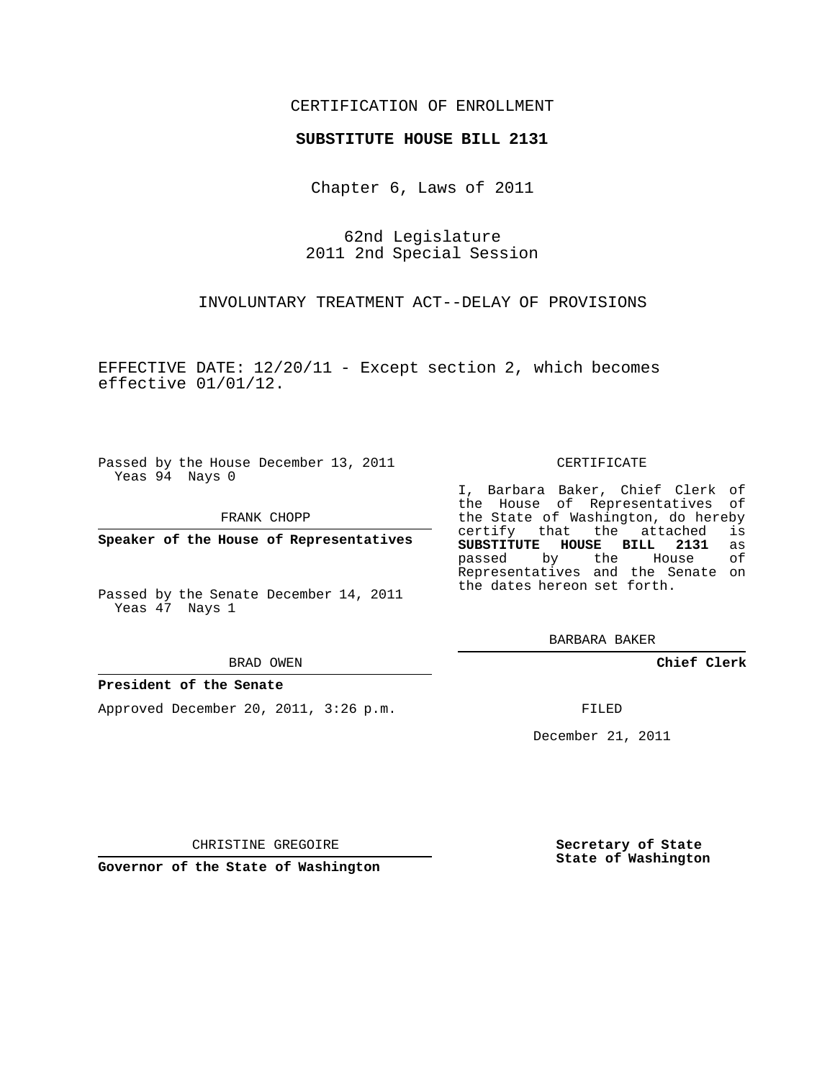## CERTIFICATION OF ENROLLMENT

## **SUBSTITUTE HOUSE BILL 2131**

Chapter 6, Laws of 2011

62nd Legislature 2011 2nd Special Session

INVOLUNTARY TREATMENT ACT--DELAY OF PROVISIONS

EFFECTIVE DATE: 12/20/11 - Except section 2, which becomes effective 01/01/12.

Passed by the House December 13, 2011 Yeas 94 Nays 0

FRANK CHOPP

**Speaker of the House of Representatives**

Passed by the Senate December 14, 2011 Yeas 47 Nays 1

#### BRAD OWEN

## **President of the Senate**

Approved December 20, 2011, 3:26 p.m.

CERTIFICATE

I, Barbara Baker, Chief Clerk of the House of Representatives of the State of Washington, do hereby<br>certify that the attached is certify that the attached is<br>SUBSTITUTE HOUSE BILL 2131 as **SUBSTITUTE HOUSE BILL 2131** passed by the House of Representatives and the Senate on the dates hereon set forth.

BARBARA BAKER

**Chief Clerk**

FILED

December 21, 2011

CHRISTINE GREGOIRE

**Governor of the State of Washington**

**Secretary of State State of Washington**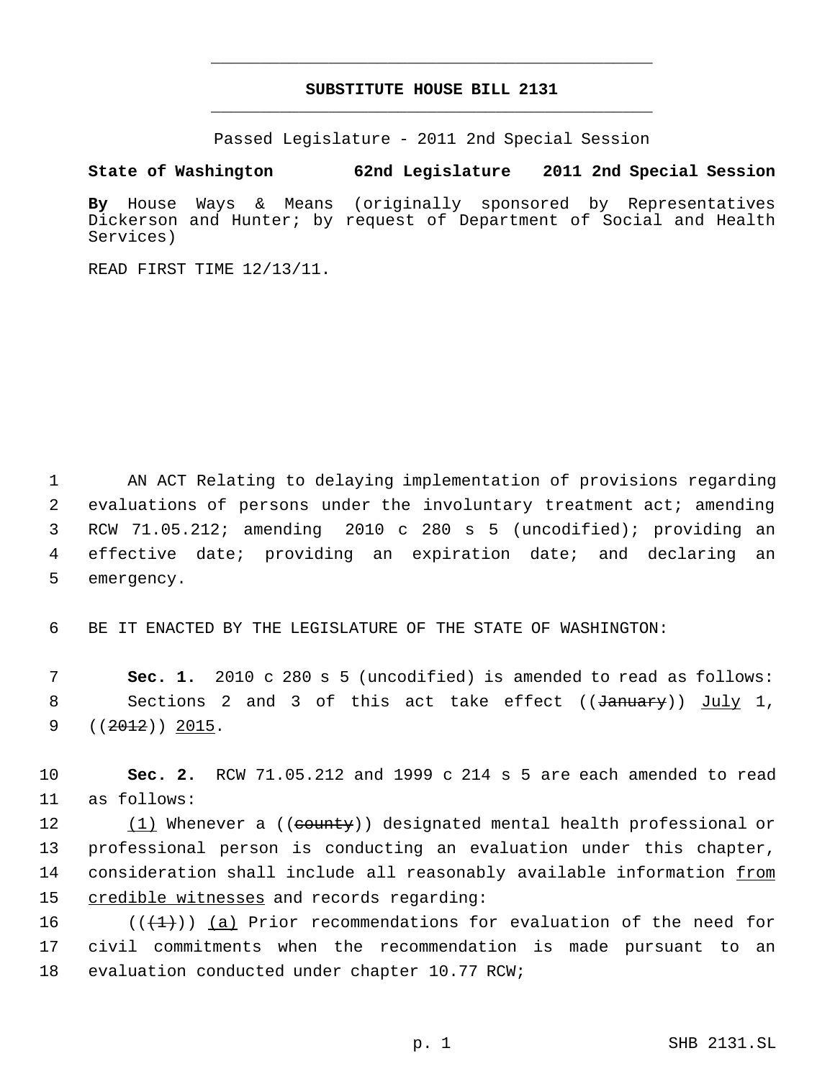# **SUBSTITUTE HOUSE BILL 2131** \_\_\_\_\_\_\_\_\_\_\_\_\_\_\_\_\_\_\_\_\_\_\_\_\_\_\_\_\_\_\_\_\_\_\_\_\_\_\_\_\_\_\_\_\_

\_\_\_\_\_\_\_\_\_\_\_\_\_\_\_\_\_\_\_\_\_\_\_\_\_\_\_\_\_\_\_\_\_\_\_\_\_\_\_\_\_\_\_\_\_

Passed Legislature - 2011 2nd Special Session

**State of Washington 62nd Legislature 2011 2nd Special Session**

**By** House Ways & Means (originally sponsored by Representatives Dickerson and Hunter; by request of Department of Social and Health Services)

READ FIRST TIME 12/13/11.

 AN ACT Relating to delaying implementation of provisions regarding evaluations of persons under the involuntary treatment act; amending RCW 71.05.212; amending 2010 c 280 s 5 (uncodified); providing an effective date; providing an expiration date; and declaring an emergency.

6 BE IT ENACTED BY THE LEGISLATURE OF THE STATE OF WASHINGTON:

 7 **Sec. 1.** 2010 c 280 s 5 (uncodified) is amended to read as follows: 8 Sections 2 and 3 of this act take effect ((<del>January</del>)) July 1, 9  $((2012))$  2015.

10 **Sec. 2.** RCW 71.05.212 and 1999 c 214 s 5 are each amended to read 11 as follows:

12 (1) Whenever a ((county)) designated mental health professional or 13 professional person is conducting an evaluation under this chapter, 14 consideration shall include all reasonably available information <u>from</u> 15 credible witnesses and records regarding:

16 ( $(\{\pm\})$ ) (a) Prior recommendations for evaluation of the need for 17 civil commitments when the recommendation is made pursuant to an 18 evaluation conducted under chapter 10.77 RCW;